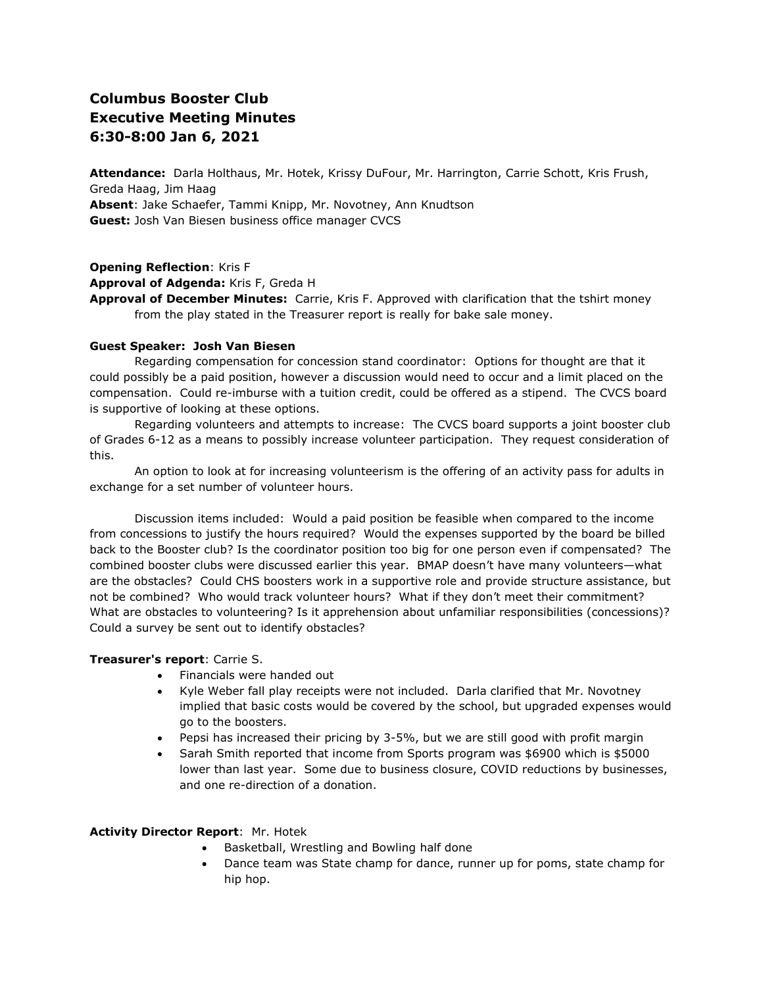# **Columbus Booster Club Executive Meeting Minutes 6:30-8:00 Jan 6, 2021**

**Attendance:** Darla Holthaus, Mr. Hotek, Krissy DuFour, Mr. Harrington, Carrie Schott, Kris Frush, Greda Haag, Jim Haag **Absent**: Jake Schaefer, Tammi Knipp, Mr. Novotney, Ann Knudtson **Guest:** Josh Van Biesen business office manager CVCS

**Opening Reflection**: Kris F **Approval of Adgenda:** Kris F, Greda H **Approval of December Minutes:** Carrie, Kris F. Approved with clarification that the tshirt money from the play stated in the Treasurer report is really for bake sale money.

#### **Guest Speaker: Josh Van Biesen**

Regarding compensation for concession stand coordinator: Options for thought are that it could possibly be a paid position, however a discussion would need to occur and a limit placed on the compensation. Could re-imburse with a tuition credit, could be offered as a stipend. The CVCS board is supportive of looking at these options.

Regarding volunteers and attempts to increase: The CVCS board supports a joint booster club of Grades 6-12 as a means to possibly increase volunteer participation. They request consideration of this.

An option to look at for increasing volunteerism is the offering of an activity pass for adults in exchange for a set number of volunteer hours.

Discussion items included: Would a paid position be feasible when compared to the income from concessions to justify the hours required? Would the expenses supported by the board be billed back to the Booster club? Is the coordinator position too big for one person even if compensated? The combined booster clubs were discussed earlier this year. BMAP doesn't have many volunteers—what are the obstacles? Could CHS boosters work in a supportive role and provide structure assistance, but not be combined? Who would track volunteer hours? What if they don't meet their commitment? What are obstacles to volunteering? Is it apprehension about unfamiliar responsibilities (concessions)? Could a survey be sent out to identify obstacles?

### **Treasurer's report**: Carrie S.

- Financials were handed out
- Kyle Weber fall play receipts were not included. Darla clarified that Mr. Novotney implied that basic costs would be covered by the school, but upgraded expenses would go to the boosters.
- Pepsi has increased their pricing by 3-5%, but we are still good with profit margin
- Sarah Smith reported that income from Sports program was \$6900 which is \$5000 lower than last year. Some due to business closure, COVID reductions by businesses, and one re-direction of a donation.

#### **Activity Director Report**: Mr. Hotek

- Basketball, Wrestling and Bowling half done
- Dance team was State champ for dance, runner up for poms, state champ for hip hop.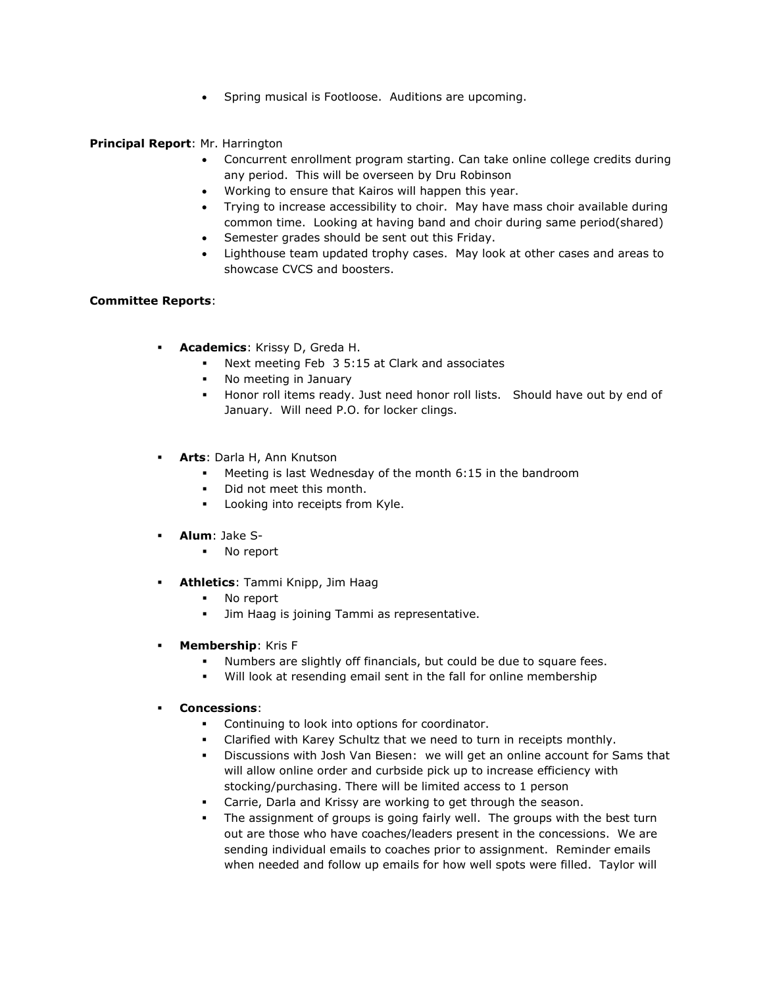• Spring musical is Footloose. Auditions are upcoming.

## **Principal Report**: Mr. Harrington

- Concurrent enrollment program starting. Can take online college credits during any period. This will be overseen by Dru Robinson
- Working to ensure that Kairos will happen this year.
- Trying to increase accessibility to choir. May have mass choir available during common time. Looking at having band and choir during same period(shared)
- Semester grades should be sent out this Friday.
- Lighthouse team updated trophy cases. May look at other cases and areas to showcase CVCS and boosters.

## **Committee Reports**:

- **Academics**: Krissy D, Greda H.
	- Next meeting Feb 3 5:15 at Clark and associates
	- No meeting in January
	- Honor roll items ready. Just need honor roll lists. Should have out by end of January. Will need P.O. for locker clings.
- Arts: Darla H, Ann Knutson
	- Meeting is last Wednesday of the month 6:15 in the bandroom
	- Did not meet this month.
	- Looking into receipts from Kyle.
- **Alum**: Jake S-
	- No report
- **Athletics**: Tammi Knipp, Jim Haag
	- No report
	- Jim Haag is joining Tammi as representative.
- **Membership**: Kris F
	- Numbers are slightly off financials, but could be due to square fees.
	- Will look at resending email sent in the fall for online membership
- **Concessions**:
	- Continuing to look into options for coordinator.
	- Clarified with Karey Schultz that we need to turn in receipts monthly.
	- Discussions with Josh Van Biesen: we will get an online account for Sams that will allow online order and curbside pick up to increase efficiency with stocking/purchasing. There will be limited access to 1 person
	- Carrie, Darla and Krissy are working to get through the season.
	- The assignment of groups is going fairly well. The groups with the best turn out are those who have coaches/leaders present in the concessions. We are sending individual emails to coaches prior to assignment. Reminder emails when needed and follow up emails for how well spots were filled. Taylor will